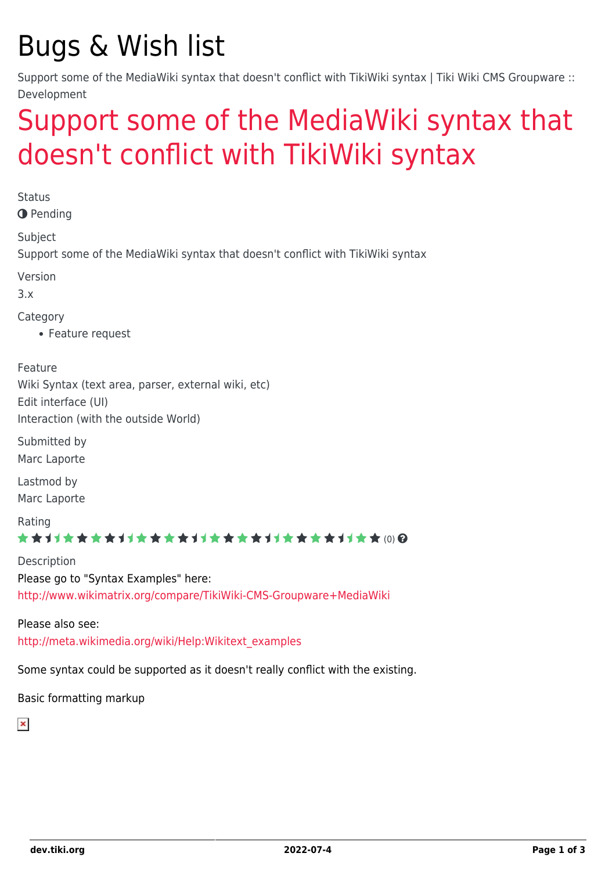# Bugs & Wish list

Support some of the MediaWiki syntax that doesn't conflict with TikiWiki syntax | Tiki Wiki CMS Groupware :: Development

## [Support some of the MediaWiki syntax that](https://dev.tiki.org/item2102-Support-some-of-the-MediaWiki-syntax-that-doesn-t-conflict-with-TikiWiki-syntax) [doesn't conflict with TikiWiki syntax](https://dev.tiki.org/item2102-Support-some-of-the-MediaWiki-syntax-that-doesn-t-conflict-with-TikiWiki-syntax)

**O** Pending Subject Support some of the MediaWiki syntax that doesn't conflict with TikiWiki syntax Version 3.x Category Feature request Feature Wiki Syntax (text area, parser, external wiki, etc) Edit interface (UI) Interaction (with the outside World) Submitted by Marc Laporte Lastmod by Marc Laporte Rating

\*\*\*\*\*\*\*\*\*\*\*\*\*\*\*\*\*\*\*\*\*\*\*\*\*\*\*\*\*\*

Description Please go to "Syntax Examples" here: <http://www.wikimatrix.org/compare/TikiWiki-CMS-Groupware+MediaWiki>

Please also see: [http://meta.wikimedia.org/wiki/Help:Wikitext\\_examples](http://meta.wikimedia.org/wiki/Help:Wikitext_examples)

Some syntax could be supported as it doesn't really conflict with the existing.

Basic formatting markup

 $\pmb{\times}$ 

**Status**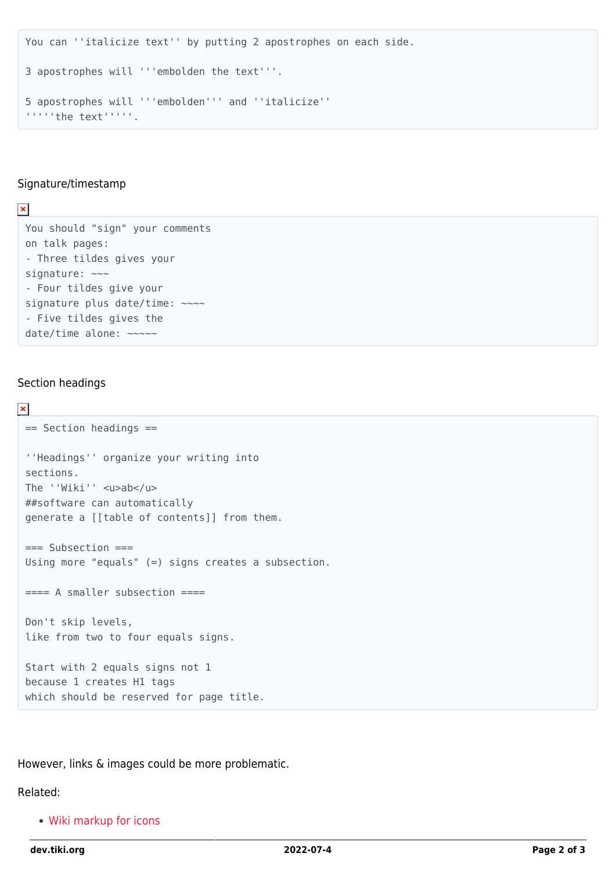```
You can ''italicize text'' by putting 2 apostrophes on each side.
3 apostrophes will '''embolden the text'''.
5 apostrophes will '''embolden''' and ''italicize''
'''''the text'''''.
```
#### Signature/timestamp

 $\pmb{\times}$ 

You should "sign" your comments on talk pages: - Three tildes gives your signature:  $\sim\sim$ - Four tildes give your signature plus date/time: ~~~~ - Five tildes gives the date/time alone: ~~~~~

#### Section headings

```
\pmb{\times}== Section headings ==
 ''Headings'' organize your writing into
 sections.
 The ''Wiki'' <u>ab</u>
 ##software can automatically
 generate a [[table of contents]] from them.
 === Subsection ===
 Using more "equals" (=) signs creates a subsection.
 ==== A smaller subsection ====
 Don't skip levels,
 like from two to four equals signs.
 Start with 2 equals signs not 1
 because 1 creates H1 tags
 which should be reserved for page title.
```
However, links & images could be more problematic.

Related:

[Wiki markup for icons](https://dev.tiki.org/wish1531)